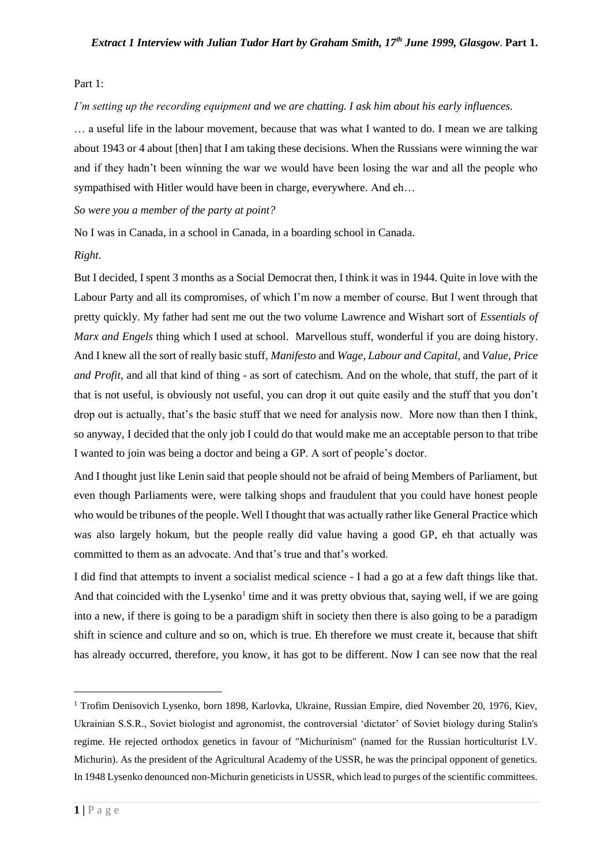#### Part 1:

*I'm setting up the recording equipment and we are chatting. I ask him about his early influences.*

… a useful life in the labour movement, because that was what I wanted to do. I mean we are talking about 1943 or 4 about [then] that I am taking these decisions. When the Russians were winning the war and if they hadn't been winning the war we would have been losing the war and all the people who sympathised with Hitler would have been in charge, everywhere. And eh…

*So were you a member of the party at point?*

No I was in Canada, in a school in Canada, in a boarding school in Canada.

#### *Right.*

But I decided, I spent 3 months as a Social Democrat then, I think it was in 1944. Quite in love with the Labour Party and all its compromises, of which I'm now a member of course. But I went through that pretty quickly. My father had sent me out the two volume Lawrence and Wishart sort of *Essentials of Marx and Engels* thing which I used at school. Marvellous stuff, wonderful if you are doing history. And I knew all the sort of really basic stuff, *Manifesto* and *Wage, Labour and Capital*, and *Value, Price and Profit*, and all that kind of thing - as sort of catechism. And on the whole, that stuff, the part of it that is not useful, is obviously not useful, you can drop it out quite easily and the stuff that you don't drop out is actually, that's the basic stuff that we need for analysis now. More now than then I think, so anyway, I decided that the only job I could do that would make me an acceptable person to that tribe I wanted to join was being a doctor and being a GP. A sort of people's doctor.

And I thought just like Lenin said that people should not be afraid of being Members of Parliament, but even though Parliaments were, were talking shops and fraudulent that you could have honest people who would be tribunes of the people. Well I thought that was actually rather like General Practice which was also largely hokum, but the people really did value having a good GP, eh that actually was committed to them as an advocate. And that's true and that's worked.

I did find that attempts to invent a socialist medical science - I had a go at a few daft things like that. And that coincided with the Lysenko<sup>1</sup> time and it was pretty obvious that, saying well, if we are going into a new, if there is going to be a paradigm shift in society then there is also going to be a paradigm shift in science and culture and so on, which is true. Eh therefore we must create it, because that shift has already occurred, therefore, you know, it has got to be different. Now I can see now that the real

<sup>1</sup> Trofim Denisovich Lysenko, born 1898, Karlovka, Ukraine, Russian Empire, died November 20, 1976, Kiev, Ukrainian S.S.R., Soviet biologist and agronomist, the controversial 'dictator' of Soviet biology during Stalin's regime. He rejected orthodox genetics in favour of "Michurinism" (named for the Russian horticulturist I.V. Michurin). As the president of the Agricultural Academy of the USSR, he was the principal opponent of genetics. In 1948 Lysenko denounced non-Michurin geneticists in USSR, which lead to purges of the scientific committees.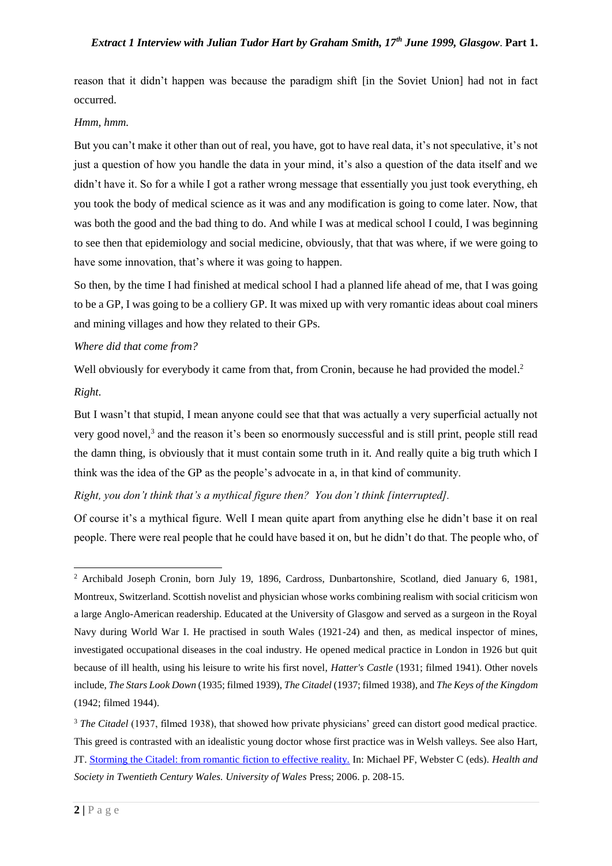reason that it didn't happen was because the paradigm shift [in the Soviet Union] had not in fact occurred.

#### *Hmm, hmm.*

But you can't make it other than out of real, you have, got to have real data, it's not speculative, it's not just a question of how you handle the data in your mind, it's also a question of the data itself and we didn't have it. So for a while I got a rather wrong message that essentially you just took everything, eh you took the body of medical science as it was and any modification is going to come later. Now, that was both the good and the bad thing to do. And while I was at medical school I could, I was beginning to see then that epidemiology and social medicine, obviously, that that was where, if we were going to have some innovation, that's where it was going to happen.

So then, by the time I had finished at medical school I had a planned life ahead of me, that I was going to be a GP, I was going to be a colliery GP. It was mixed up with very romantic ideas about coal miners and mining villages and how they related to their GPs.

## *Where did that come from?*

Well obviously for everybody it came from that, from Cronin, because he had provided the model.<sup>2</sup>

#### *Right.*

1

But I wasn't that stupid, I mean anyone could see that that was actually a very superficial actually not very good novel,<sup>3</sup> and the reason it's been so enormously successful and is still print, people still read the damn thing, is obviously that it must contain some truth in it. And really quite a big truth which I think was the idea of the GP as the people's advocate in a, in that kind of community.

## *Right, you don't think that's a mythical figure then? You don't think [interrupted].*

Of course it's a mythical figure. Well I mean quite apart from anything else he didn't base it on real people. There were real people that he could have based it on, but he didn't do that. The people who, of

<sup>2</sup> Archibald Joseph Cronin, born July 19, 1896, Cardross, Dunbartonshire, Scotland, died January 6, 1981, Montreux, Switzerland. Scottish novelist and physician whose works combining realism with social criticism won a large Anglo-American readership. Educated at the University of Glasgow and served as a surgeon in the Royal Navy during World War I. He practised in south Wales (1921-24) and then, as medical inspector of mines, investigated occupational diseases in the coal industry. He opened medical practice in London in 1926 but quit because of ill health, using his leisure to write his first novel, *Hatter's Castle* (1931; filmed 1941). Other novels include, *The Stars Look Down* (1935; filmed 1939), *The Citadel* (1937; filmed 1938), and *The Keys of the Kingdom* (1942; filmed 1944).

<sup>&</sup>lt;sup>3</sup> *The Citadel* (1937, filmed 1938), that showed how private physicians' greed can distort good medical practice. This greed is contrasted with an idealistic young doctor whose first practice was in Welsh valleys. See also Hart, JT. [Storming the Citadel: from romantic fiction to effective reality.](http://www.sochealth.co.uk/the-socialist-health-association/members/distinguished-members/julian-tudor-hart/storming-the-citadel-from-romantic-fiction-to-effective-reality/) In: Michael PF, Webster C (eds). *Health and Society in Twentieth Century Wales. University of Wales* Press; 2006. p. 208-15.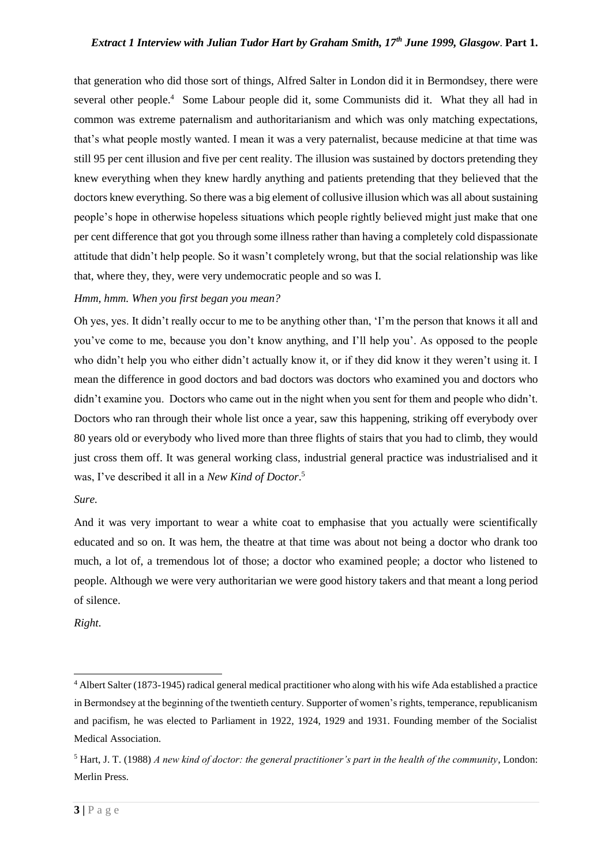## *Extract 1 Interview with Julian Tudor Hart by Graham Smith, 17th June 1999, Glasgow*. **Part 1.**

that generation who did those sort of things, Alfred Salter in London did it in Bermondsey, there were several other people.<sup>4</sup> Some Labour people did it, some Communists did it. What they all had in common was extreme paternalism and authoritarianism and which was only matching expectations, that's what people mostly wanted. I mean it was a very paternalist, because medicine at that time was still 95 per cent illusion and five per cent reality. The illusion was sustained by doctors pretending they knew everything when they knew hardly anything and patients pretending that they believed that the doctors knew everything. So there was a big element of collusive illusion which was all about sustaining people's hope in otherwise hopeless situations which people rightly believed might just make that one per cent difference that got you through some illness rather than having a completely cold dispassionate attitude that didn't help people. So it wasn't completely wrong, but that the social relationship was like that, where they, they, were very undemocratic people and so was I.

## *Hmm, hmm. When you first began you mean?*

Oh yes, yes. It didn't really occur to me to be anything other than, 'I'm the person that knows it all and you've come to me, because you don't know anything, and I'll help you'. As opposed to the people who didn't help you who either didn't actually know it, or if they did know it they weren't using it. I mean the difference in good doctors and bad doctors was doctors who examined you and doctors who didn't examine you. Doctors who came out in the night when you sent for them and people who didn't. Doctors who ran through their whole list once a year, saw this happening, striking off everybody over 80 years old or everybody who lived more than three flights of stairs that you had to climb, they would just cross them off. It was general working class, industrial general practice was industrialised and it was, I've described it all in a *New Kind of Doctor*. 5

*Sure.*

And it was very important to wear a white coat to emphasise that you actually were scientifically educated and so on. It was hem, the theatre at that time was about not being a doctor who drank too much, a lot of, a tremendous lot of those; a doctor who examined people; a doctor who listened to people. Although we were very authoritarian we were good history takers and that meant a long period of silence.

*Right.*

<sup>4</sup> Albert Salter (1873-1945) radical general medical practitioner who along with his wife Ada established a practice in Bermondsey at the beginning of the twentieth century. Supporter of women's rights, temperance, republicanism and pacifism, he was elected to Parliament in 1922, 1924, 1929 and 1931. Founding member of the Socialist Medical Association.

<sup>5</sup> Hart, J. T. (1988) *A new kind of doctor: the general practitioner's part in the health of the community*, London: Merlin Press.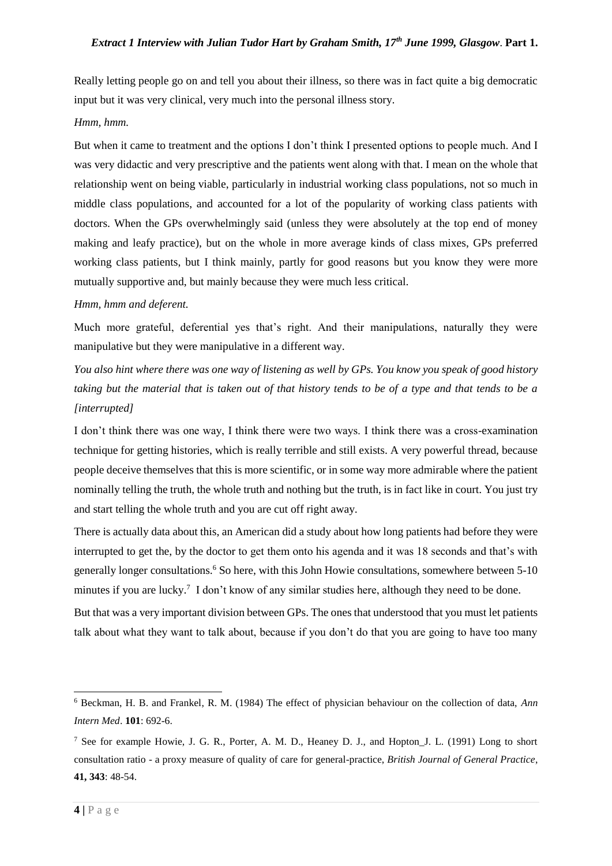Really letting people go on and tell you about their illness, so there was in fact quite a big democratic input but it was very clinical, very much into the personal illness story.

## *Hmm, hmm.*

But when it came to treatment and the options I don't think I presented options to people much. And I was very didactic and very prescriptive and the patients went along with that. I mean on the whole that relationship went on being viable, particularly in industrial working class populations, not so much in middle class populations, and accounted for a lot of the popularity of working class patients with doctors. When the GPs overwhelmingly said (unless they were absolutely at the top end of money making and leafy practice), but on the whole in more average kinds of class mixes, GPs preferred working class patients, but I think mainly, partly for good reasons but you know they were more mutually supportive and, but mainly because they were much less critical.

## *Hmm, hmm and deferent.*

Much more grateful, deferential yes that's right. And their manipulations, naturally they were manipulative but they were manipulative in a different way.

*You also hint where there was one way of listening as well by GPs. You know you speak of good history taking but the material that is taken out of that history tends to be of a type and that tends to be a [interrupted]*

I don't think there was one way, I think there were two ways. I think there was a cross-examination technique for getting histories, which is really terrible and still exists. A very powerful thread, because people deceive themselves that this is more scientific, or in some way more admirable where the patient nominally telling the truth, the whole truth and nothing but the truth, is in fact like in court. You just try and start telling the whole truth and you are cut off right away.

There is actually data about this, an American did a study about how long patients had before they were interrupted to get the, by the doctor to get them onto his agenda and it was 18 seconds and that's with generally longer consultations.<sup>6</sup> So here, with this John Howie consultations, somewhere between 5-10 minutes if you are lucky.<sup>7</sup> I don't know of any similar studies here, although they need to be done.

But that was a very important division between GPs. The ones that understood that you must let patients talk about what they want to talk about, because if you don't do that you are going to have too many

<sup>1</sup> <sup>6</sup> Beckman, H. B. and Frankel, R. M. (1984) The effect of physician behaviour on the collection of data, *Ann Intern Med*. **101**: 692-6.

<sup>7</sup> See for example Howie, J. G. R., Porter, A. M. D., Heaney D. J., and Hopton\_J. L. (1991) Long to short consultation ratio - a proxy measure of quality of care for general-practice, *British Journal of General Practice*, **41, 343**: 48-54.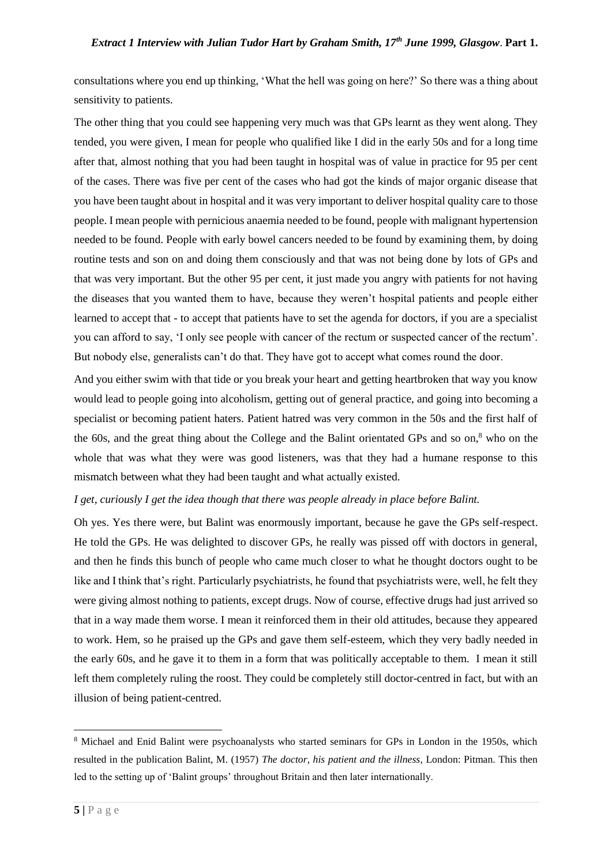consultations where you end up thinking, 'What the hell was going on here?' So there was a thing about sensitivity to patients.

The other thing that you could see happening very much was that GPs learnt as they went along. They tended, you were given, I mean for people who qualified like I did in the early 50s and for a long time after that, almost nothing that you had been taught in hospital was of value in practice for 95 per cent of the cases. There was five per cent of the cases who had got the kinds of major organic disease that you have been taught about in hospital and it was very important to deliver hospital quality care to those people. I mean people with pernicious anaemia needed to be found, people with malignant hypertension needed to be found. People with early bowel cancers needed to be found by examining them, by doing routine tests and son on and doing them consciously and that was not being done by lots of GPs and that was very important. But the other 95 per cent, it just made you angry with patients for not having the diseases that you wanted them to have, because they weren't hospital patients and people either learned to accept that - to accept that patients have to set the agenda for doctors, if you are a specialist you can afford to say, 'I only see people with cancer of the rectum or suspected cancer of the rectum'. But nobody else, generalists can't do that. They have got to accept what comes round the door.

And you either swim with that tide or you break your heart and getting heartbroken that way you know would lead to people going into alcoholism, getting out of general practice, and going into becoming a specialist or becoming patient haters. Patient hatred was very common in the 50s and the first half of the 60s, and the great thing about the College and the Balint orientated GPs and so on, $8$  who on the whole that was what they were was good listeners, was that they had a humane response to this mismatch between what they had been taught and what actually existed.

## *I get, curiously I get the idea though that there was people already in place before Balint.*

Oh yes. Yes there were, but Balint was enormously important, because he gave the GPs self-respect. He told the GPs. He was delighted to discover GPs, he really was pissed off with doctors in general, and then he finds this bunch of people who came much closer to what he thought doctors ought to be like and I think that's right. Particularly psychiatrists, he found that psychiatrists were, well, he felt they were giving almost nothing to patients, except drugs. Now of course, effective drugs had just arrived so that in a way made them worse. I mean it reinforced them in their old attitudes, because they appeared to work. Hem, so he praised up the GPs and gave them self-esteem, which they very badly needed in the early 60s, and he gave it to them in a form that was politically acceptable to them. I mean it still left them completely ruling the roost. They could be completely still doctor-centred in fact, but with an illusion of being patient-centred.

<sup>8</sup> Michael and Enid Balint were psychoanalysts who started seminars for GPs in London in the 1950s, which resulted in the publication Balint, M. (1957) *The doctor, his patient and the illness*, London: Pitman. This then led to the setting up of 'Balint groups' throughout Britain and then later internationally.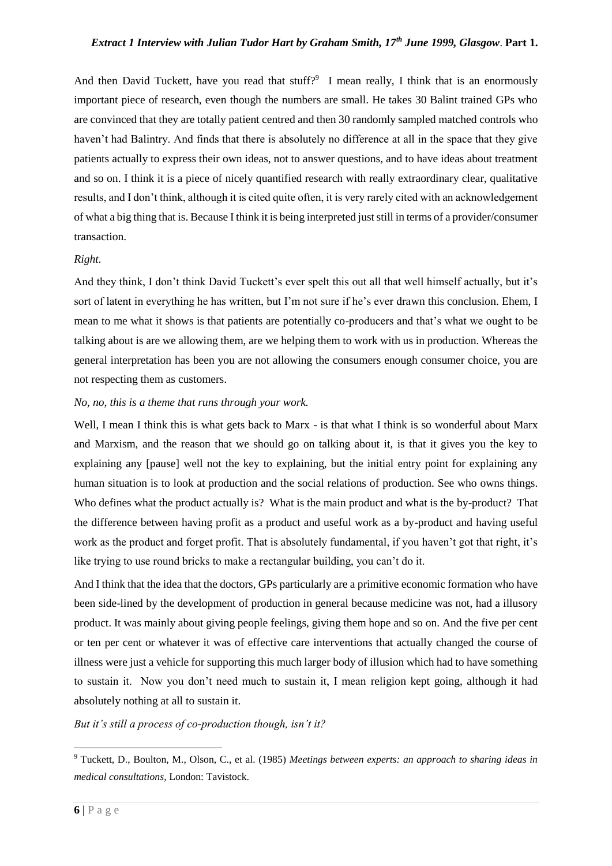# *Extract 1 Interview with Julian Tudor Hart by Graham Smith, 17th June 1999, Glasgow*. **Part 1.**

And then David Tuckett, have you read that stuff? $9$  I mean really, I think that is an enormously important piece of research, even though the numbers are small. He takes 30 Balint trained GPs who are convinced that they are totally patient centred and then 30 randomly sampled matched controls who haven't had Balintry. And finds that there is absolutely no difference at all in the space that they give patients actually to express their own ideas, not to answer questions, and to have ideas about treatment and so on. I think it is a piece of nicely quantified research with really extraordinary clear, qualitative results, and I don't think, although it is cited quite often, it is very rarely cited with an acknowledgement of what a big thing that is. Because I think it is being interpreted just still in terms of a provider/consumer transaction.

#### *Right.*

And they think, I don't think David Tuckett's ever spelt this out all that well himself actually, but it's sort of latent in everything he has written, but I'm not sure if he's ever drawn this conclusion. Ehem, I mean to me what it shows is that patients are potentially co-producers and that's what we ought to be talking about is are we allowing them, are we helping them to work with us in production. Whereas the general interpretation has been you are not allowing the consumers enough consumer choice, you are not respecting them as customers.

## *No, no, this is a theme that runs through your work.*

Well, I mean I think this is what gets back to Marx - is that what I think is so wonderful about Marx and Marxism, and the reason that we should go on talking about it, is that it gives you the key to explaining any [pause] well not the key to explaining, but the initial entry point for explaining any human situation is to look at production and the social relations of production. See who owns things. Who defines what the product actually is? What is the main product and what is the by-product? That the difference between having profit as a product and useful work as a by-product and having useful work as the product and forget profit. That is absolutely fundamental, if you haven't got that right, it's like trying to use round bricks to make a rectangular building, you can't do it.

And I think that the idea that the doctors, GPs particularly are a primitive economic formation who have been side-lined by the development of production in general because medicine was not, had a illusory product. It was mainly about giving people feelings, giving them hope and so on. And the five per cent or ten per cent or whatever it was of effective care interventions that actually changed the course of illness were just a vehicle for supporting this much larger body of illusion which had to have something to sustain it. Now you don't need much to sustain it, I mean religion kept going, although it had absolutely nothing at all to sustain it.

## *But it's still a process of co-production though, isn't it?*

<sup>9</sup> Tuckett, D., Boulton, M., Olson, C., et al. (1985) *Meetings between experts: an approach to sharing ideas in medical consultations*, London: Tavistock.